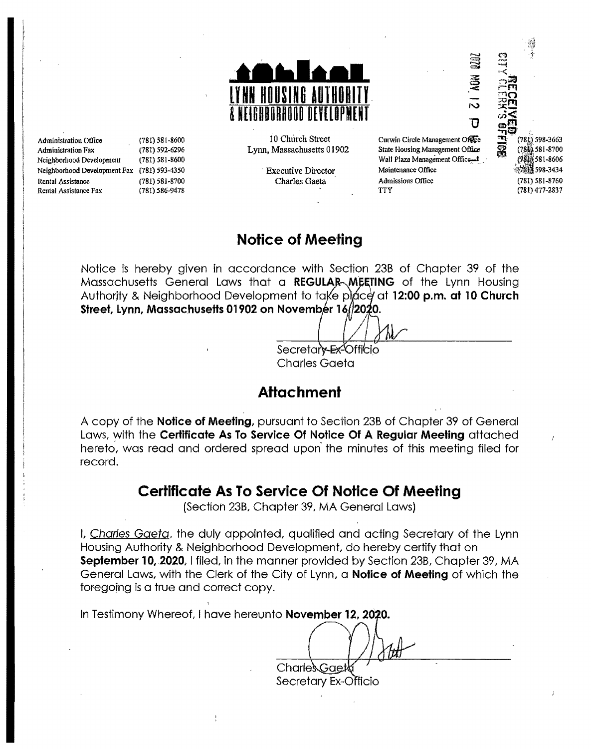

Administration Fax (781) 592-6296 Lynn, Massachusetts 01902 Neighborhood Development (781) 581·8600 Wall Plaza Management Offic~... Neighborhood Development Fax (781) 593-4350 Executive Director Maintenance Office<br>Rental Assistance (781) 581-8700 Charles Gaeta Admissions Office Rental Assistance (781) 581-8700 Charles Gaeta Admissions Office (781) 581-8760 Rental Assistance Fax (781) 586-9478 lTY (781) 477-2837

Administration Office (781) 581-8600 in the street Church Street Cumin Circle Management Office<br>Administration Fax (781) 592-6296 in Lynn, Massachusetts 01902 State Housing Management Office

(781) 598-3663  $(781)$  581-8700 (9818 581-8606 598·3434

## **Notice of Meeting**

Notice is hereby given in accordance with Section 23B of Chapter 39 of the Massachusetts General Laws that a **REGULAR MEETING** of the Lynn Housing Authority & Neighborhood Development to take place at 12:00 p.m. at 10 Church **Street, Lynn, Massachusetts 01902 on November 16/2020.**  $\diagup$ 

> Secretary Ex-Officio Charles Gaeta

## **Attachment**

A copy of the **Notice of Meeting,** pursuant to Sedion 23B of Chapter 39 of General Laws, with the **Certificate As To Service Of Notice Of A Regular Meeting** attached hereto, was read and ordered spread upon the minutes of this meeting filed for record.

## **Certificate As To Service Of Notice Of Meeting**

(Section 23B, Chapter 39, MA General Laws)

L, Charles Gaeta, the duly appointed, qualified and acting Secretary of the Lynn Housing Authority & Neighborhood Development, do hereby certify that on **September 10, 2020, I filed, in the manner provided by Section 23B, Chapter 39, MA** General Laws, with the Clerk of the City of Lynn, a **Notice of Meeting** of which the foregoing is a true and correct copy.

In Testimony Whereof, I have hereunto **November 12, 2020.** 

Charles Gaet

Secretary Ex-Officio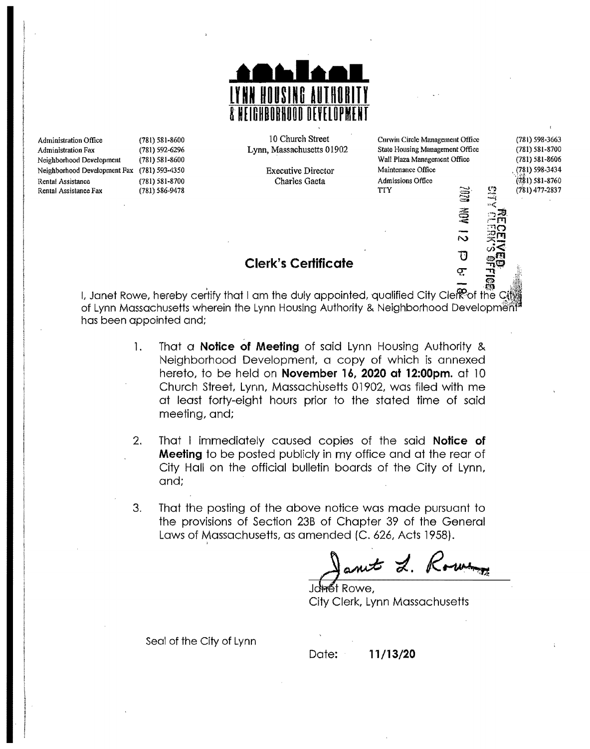

Administration Office (781) 581-8600 10 Church Street Curvin Circle Management Office (781) 598-3663<br>Administration Fax (781) 592-6296 19700 Lynn, Massachusetts 01902 State Housing Management Office (781) 581-8700 Administration Fax (781) 592-6296 Lynn, Massachusetts 01902 State Housing Management Office (781) 581-8700<br>Neighborhood Development (781) 581-8606 State 1910 State Housing Management Office (781) 581-8606 Neighborhood Development (781) 581-8606<br>Neighborhood Development Fax (781) 593-4350 Wall Plaza Management Office (781) 598-3434 Wall Plaza Management Office Neighborhood Development Fax (781) 593-4350 Executive Director Maintenance Office . (781) 598-3434 . (781) 598-3434<br>Rental Assistance . (781) 581-8700 . Charles Gaeta . Admissions Office . (781) 581-8760 Rental Assistance (781) 581-8700 Charles Gaeta Admissions Office (781) 581-8760 Rental Assistance Fax (781) 586-9478 TTY

 $\cong$ 

 $\widetilde{\mathbb{S}}$  $=$ 

N

t'l)

\*್<br>೧⊉  $- \overline{m}$  $\Box$ ෆ  $\mathbb{R}$ ળં≨

(781) 477-2837

# Clerk's **Certificate** ~ ~

I, Janet Rowe, hereby certify that I am the duly appointed, qualified City Clefeof the C of Lynn Massachusetts wherein the Lynn Housing Authority & Neighborhood Development has been appointed and;

- 1. That a **Notice of Meeting** of said Lynn Housing Authority & Neighborhood Development, a copy of which is annexed hereto, to be held on **November 16, 2020 at 12:00pm.** at 10 Church Street, Lynn, Massachusetts 01902, was filed with me at least forty-etght hours prior to the stated time of said meeting, and;
- 2. That I immediately caused copies of the said **Notice of Meeting** to be posted publicly in my office and at the rear of City Hall on the official bulletin boards of the City of Lynn, and;
- 3. That the posting of the above notice was made pursuant to the provisions of Section 23B of Chapter 39 of the General Laws of Massachusetts, as amended (C. 626, Acts 1958).

ant L. K

it Rowe. City Clerk, Lynn Massachusetts

Seal of the City of Lynn

Date: **11/13/20**